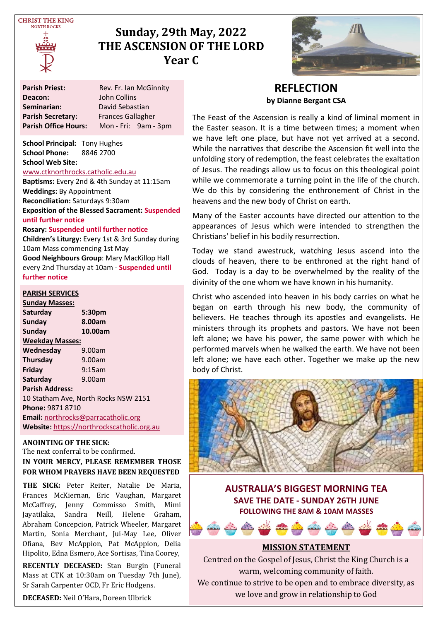**CHRIST THE KING NOPTH POCKS** 



# **Sunday, 29th May, 2022 THE ASCENSION OF THE LORD Year C**



**Parish Priest:** Rev. Fr. Ian McGinnity **Deacon:** John Collins<br> **Seminarian:** David Sebas **David Sebastian<br>Frances Gallagher Parish Secretary:**<br>Parish Office Hours: **Parish Office Hours:** Mon - Fri: 9am - 3pm

**School Principal:** Tony Hughes **School Phone:** 8846 2700 **School Web Site:** 

#### [www.ctknorthrocks.catholic.edu.au](http://www.ctknorthrocks.catholic.edu.au)

**Baptisms:** Every 2nd & 4th Sunday at 11:15am **Weddings:** By Appointment **Reconciliation:** Saturdays 9:30am **Exposition of the Blessed Sacrament: Suspended until further notice**

#### **Rosary: Suspended until further notice**

**Children's Liturgy:** Every 1st & 3rd Sunday during 10am Mass commencing 1st May **Good Neighbours Group**: Mary MacKillop Hall every 2nd Thursday at 10am - **Suspended until further notice**

#### **PARISH SERVICES**

**Sunday Masses: Saturday 5:30pm** Sunday **Sunday 10.00am Weekday Masses: Wednesday** 9.00am **Thursday** 9.00am **Friday** 9:15am **Saturday** 9.00am **Parish Address:** 10 Statham Ave, North Rocks NSW 2151 **Phone:** 9871 8710 **Email:** [northrocks@parracatholic.org](mailto:northrocks@parracatholic.org) **Website:** [https://northrockscatholic.org.au](https://northrockscatholic.org.au/)

#### **ANOINTING OF THE SICK:**

The next conferral to be confirmed. **IN YOUR MERCY, PLEASE REMEMBER THOSE FOR WHOM PRAYERS HAVE BEEN REQUESTED**

**THE SICK:** Peter Reiter, Natalie De Maria, Frances McKiernan, Eric Vaughan, Margaret McCaffrey, Jenny Commisso Smith, Mimi Jayatilaka, Sandra Neill, Helene Graham, Abraham Concepcion, Patrick Wheeler, Margaret Martin, Sonia Merchant, Jui-May Lee, Oliver Ofiana, Bev McAppion, Pat McAppion, Delia Hipolito, Edna Esmero, Ace Sortisas, Tina Coorey,

**RECENTLY DECEASED:** Stan Burgin (Funeral Mass at CTK at 10:30am on Tuesday 7th June), Sr Sarah Carpenter OCD, Fr Eric Hodgens.

**DECEASED:** Neil O'Hara, Doreen Ulbrick

### **REFLECTION by Dianne Bergant CSA**

The Feast of the Ascension is really a kind of liminal moment in the Easter season. It is a time between times; a moment when we have left one place, but have not yet arrived at a second. While the narratives that describe the Ascension fit well into the unfolding story of redemption, the feast celebrates the exaltation of Jesus. The readings allow us to focus on this theological point while we commemorate a turning point in the life of the church. We do this by considering the enthronement of Christ in the heavens and the new body of Christ on earth.

Many of the Easter accounts have directed our attention to the appearances of Jesus which were intended to strengthen the Christians' belief in his bodily resurrection.

Today we stand awestruck, watching Jesus ascend into the clouds of heaven, there to be enthroned at the right hand of God. Today is a day to be overwhelmed by the reality of the divinity of the one whom we have known in his humanity.

Christ who ascended into heaven in his body carries on what he began on earth through his new body, the community of believers. He teaches through its apostles and evangelists. He ministers through its prophets and pastors. We have not been left alone; we have his power, the same power with which he performed marvels when he walked the earth. We have not been left alone; we have each other. Together we make up the new body of Christ.



**AUSTRALIA'S BIGGEST MORNING TEA SAVE THE DATE - SUNDAY 26TH JUNE FOLLOWING THE 8AM & 10AM MASSES**



Centred on the Gospel of Jesus, Christ the King Church is a warm, welcoming community of faith. We continue to strive to be open and to embrace diversity, as we love and grow in relationship to God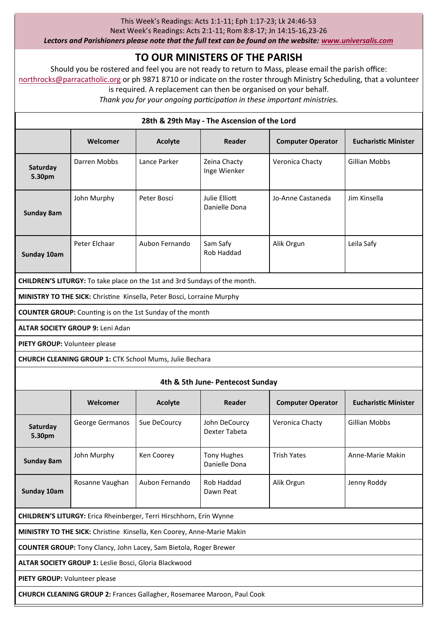#### This Week's Readings: Acts 1:1-11; Eph 1:17-23; Lk 24:46-53

Next Week's Readings: Acts 2:1-11; Rom 8:8-17; Jn 14:15-16,23-26

*Lectors and Parishioners please note that the full text can be found on the website: [www.universalis.com](http://www.universalis.com)*

# **TO OUR MINISTERS OF THE PARISH**

Should you be rostered and feel you are not ready to return to Mass, please email the parish office: [northrocks@parracatholic.org](mailto:northrocks@parracatholic.org) or ph 9871 8710 or indicate on the roster through Ministry Scheduling, that a volunteer

is required. A replacement can then be organised on your behalf.

*Thank you for your ongoing participation in these important ministries.*

| 28th & 29th May - The Ascension of the Lord                                       |                 |                |                                     |                          |                             |
|-----------------------------------------------------------------------------------|-----------------|----------------|-------------------------------------|--------------------------|-----------------------------|
|                                                                                   | Welcomer        | Acolyte        | Reader                              | <b>Computer Operator</b> | <b>Eucharistic Minister</b> |
| Saturday<br>5.30pm                                                                | Darren Mobbs    | Lance Parker   | Zeina Chacty<br>Inge Wienker        | Veronica Chacty          | <b>Gillian Mobbs</b>        |
| Sunday 8am                                                                        | John Murphy     | Peter Bosci    | Julie Elliott<br>Danielle Dona      | Jo-Anne Castaneda        | Jim Kinsella                |
| Sunday 10am                                                                       | Peter Elchaar   | Aubon Fernando | Sam Safy<br>Rob Haddad              | Alik Orgun               | Leila Safy                  |
| <b>CHILDREN'S LITURGY:</b> To take place on the 1st and 3rd Sundays of the month. |                 |                |                                     |                          |                             |
| MINISTRY TO THE SICK: Christine Kinsella, Peter Bosci, Lorraine Murphy            |                 |                |                                     |                          |                             |
| <b>COUNTER GROUP:</b> Counting is on the 1st Sunday of the month                  |                 |                |                                     |                          |                             |
| ALTAR SOCIETY GROUP 9: Leni Adan                                                  |                 |                |                                     |                          |                             |
| PIETY GROUP: Volunteer please                                                     |                 |                |                                     |                          |                             |
| CHURCH CLEANING GROUP 1: CTK School Mums, Julie Bechara                           |                 |                |                                     |                          |                             |
| 4th & 5th June- Pentecost Sunday                                                  |                 |                |                                     |                          |                             |
|                                                                                   | Welcomer        | Acolyte        | Reader                              | <b>Computer Operator</b> | <b>Eucharistic Minister</b> |
| Saturday<br>5.30pm                                                                | George Germanos | Sue DeCourcy   | John DeCourcy<br>Dexter Tabeta      | Veronica Chacty          | <b>Gillian Mobbs</b>        |
| Sunday 8am                                                                        | John Murphy     | Ken Coorey     | <b>Tony Hughes</b><br>Danielle Dona | <b>Trish Yates</b>       | Anne-Marie Makin            |
| Sunday 10am                                                                       | Rosanne Vaughan | Aubon Fernando | Rob Haddad<br>Dawn Peat             | Alik Orgun               | Jenny Roddy                 |
| CHILDREN'S LITURGY: Erica Rheinberger, Terri Hirschhorn, Erin Wynne               |                 |                |                                     |                          |                             |
| MINISTRY TO THE SICK: Christine Kinsella, Ken Coorey, Anne-Marie Makin            |                 |                |                                     |                          |                             |
| <b>COUNTER GROUP:</b> Tony Clancy, John Lacey, Sam Bietola, Roger Brewer          |                 |                |                                     |                          |                             |
| ALTAR SOCIETY GROUP 1: Leslie Bosci, Gloria Blackwood                             |                 |                |                                     |                          |                             |
| <b>PIETY GROUP:</b> Volunteer please                                              |                 |                |                                     |                          |                             |
| <b>CHURCH CLEANING GROUP 2: Frances Gallagher, Rosemaree Maroon, Paul Cook</b>    |                 |                |                                     |                          |                             |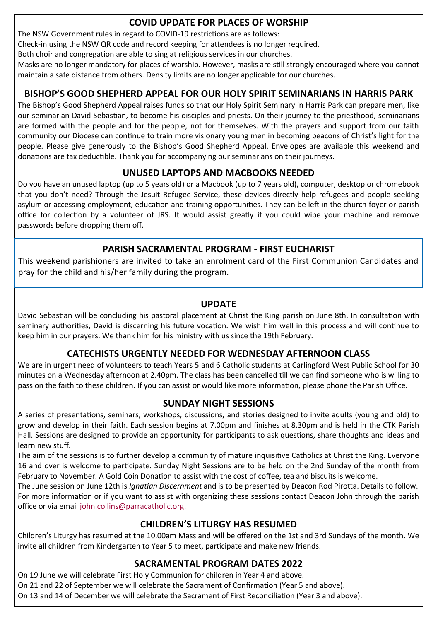# **COVID UPDATE FOR PLACES OF WORSHIP**

The NSW Government rules in regard to COVID-19 restrictions are as follows:

Check-in using the NSW QR code and record keeping for attendees is no longer required.

Both choir and congregation are able to sing at religious services in our churches.

Masks are no longer mandatory for places of worship. However, masks are still strongly encouraged where you cannot maintain a safe distance from others. Density limits are no longer applicable for our churches.

## **BISHOP'S GOOD SHEPHERD APPEAL FOR OUR HOLY SPIRIT SEMINARIANS IN HARRIS PARK**

The Bishop's Good Shepherd Appeal raises funds so that our Holy Spirit Seminary in Harris Park can prepare men, like our seminarian David Sebastian, to become his disciples and priests. On their journey to the priesthood, seminarians are formed with the people and for the people, not for themselves. With the prayers and support from our faith community our Diocese can continue to train more visionary young men in becoming beacons of Christ's light for the people. Please give generously to the Bishop's Good Shepherd Appeal. Envelopes are available this weekend and donations are tax deductible. Thank you for accompanying our seminarians on their journeys.

# **UNUSED LAPTOPS AND MACBOOKS NEEDED**

Do you have an unused laptop (up to 5 years old) or a Macbook (up to 7 years old), computer, desktop or chromebook that you don't need? Through the Jesuit Refugee Service, these devices directly help refugees and people seeking asylum or accessing employment, education and training opportunities. They can be left in the church foyer or parish office for collection by a volunteer of JRS. It would assist greatly if you could wipe your machine and remove passwords before dropping them off.

# **PARISH SACRAMENTAL PROGRAM - FIRST EUCHARIST**

This weekend parishioners are invited to take an enrolment card of the First Communion Candidates and pray for the child and his/her family during the program.

### **UPDATE**

David Sebastian will be concluding his pastoral placement at Christ the King parish on June 8th. In consultation with seminary authorities, David is discerning his future vocation. We wish him well in this process and will continue to keep him in our prayers. We thank him for his ministry with us since the 19th February.

### **CATECHISTS URGENTLY NEEDED FOR WEDNESDAY AFTERNOON CLASS**

We are in urgent need of volunteers to teach Years 5 and 6 Catholic students at Carlingford West Public School for 30 minutes on a Wednesday afternoon at 2.40pm. The class has been cancelled till we can find someone who is willing to pass on the faith to these children. If you can assist or would like more information, please phone the Parish Office.

### **SUNDAY NIGHT SESSIONS**

A series of presentations, seminars, workshops, discussions, and stories designed to invite adults (young and old) to grow and develop in their faith. Each session begins at 7.00pm and finishes at 8.30pm and is held in the CTK Parish Hall. Sessions are designed to provide an opportunity for participants to ask questions, share thoughts and ideas and learn new stuff.

The aim of the sessions is to further develop a community of mature inquisitive Catholics at Christ the King. Everyone 16 and over is welcome to participate. Sunday Night Sessions are to be held on the 2nd Sunday of the month from February to November. A Gold Coin Donation to assist with the cost of coffee, tea and biscuits is welcome.

The June session on June 12th is *Ignatian Discernment* and is to be presented by Deacon Rod Pirotta. Details to follow. For more information or if you want to assist with organizing these sessions contact Deacon John through the parish office or via email [john.collins@parracatholic.org.](mailto:john.collins@parracatholic.org)

### **CHILDREN'S LITURGY HAS RESUMED**

Children's Liturgy has resumed at the 10.00am Mass and will be offered on the 1st and 3rd Sundays of the month. We invite all children from Kindergarten to Year 5 to meet, participate and make new friends.

# **SACRAMENTAL PROGRAM DATES 2022**

On 19 June we will celebrate First Holy Communion for children in Year 4 and above.

On 21 and 22 of September we will celebrate the Sacrament of Confirmation (Year 5 and above).

On 13 and 14 of December we will celebrate the Sacrament of First Reconciliation (Year 3 and above).